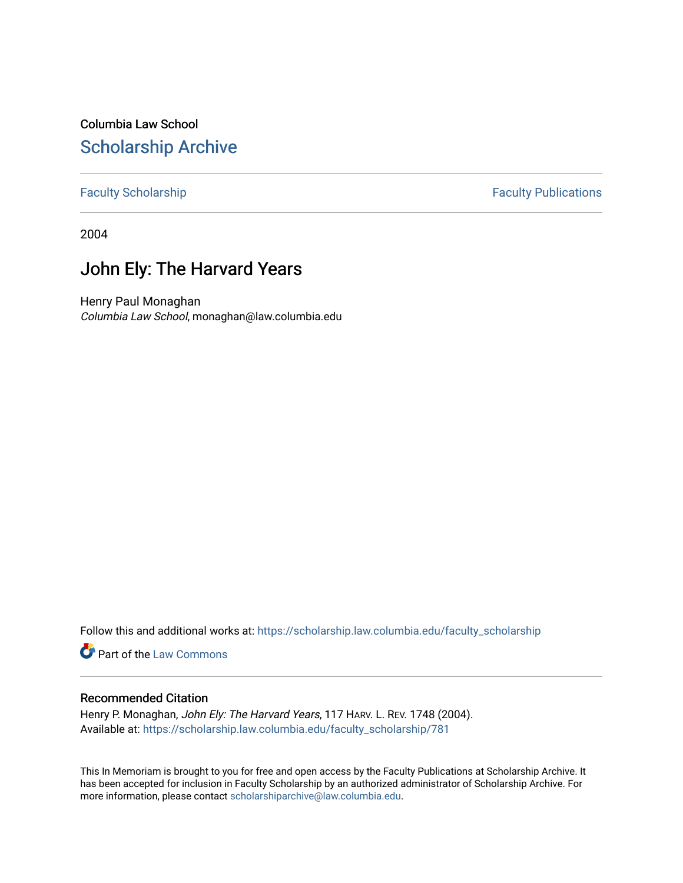Columbia Law School [Scholarship Archive](https://scholarship.law.columbia.edu/) 

[Faculty Scholarship](https://scholarship.law.columbia.edu/faculty_scholarship) **Faculty Publications** 

2004

# John Ely: The Harvard Years

Henry Paul Monaghan Columbia Law School, monaghan@law.columbia.edu

Follow this and additional works at: [https://scholarship.law.columbia.edu/faculty\\_scholarship](https://scholarship.law.columbia.edu/faculty_scholarship?utm_source=scholarship.law.columbia.edu%2Ffaculty_scholarship%2F781&utm_medium=PDF&utm_campaign=PDFCoverPages)

**Part of the [Law Commons](http://network.bepress.com/hgg/discipline/578?utm_source=scholarship.law.columbia.edu%2Ffaculty_scholarship%2F781&utm_medium=PDF&utm_campaign=PDFCoverPages)** 

## Recommended Citation

Henry P. Monaghan, John Ely: The Harvard Years, 117 HARV. L. REV. 1748 (2004). Available at: [https://scholarship.law.columbia.edu/faculty\\_scholarship/781](https://scholarship.law.columbia.edu/faculty_scholarship/781?utm_source=scholarship.law.columbia.edu%2Ffaculty_scholarship%2F781&utm_medium=PDF&utm_campaign=PDFCoverPages) 

This In Memoriam is brought to you for free and open access by the Faculty Publications at Scholarship Archive. It has been accepted for inclusion in Faculty Scholarship by an authorized administrator of Scholarship Archive. For more information, please contact [scholarshiparchive@law.columbia.edu.](mailto:scholarshiparchive@law.columbia.edu)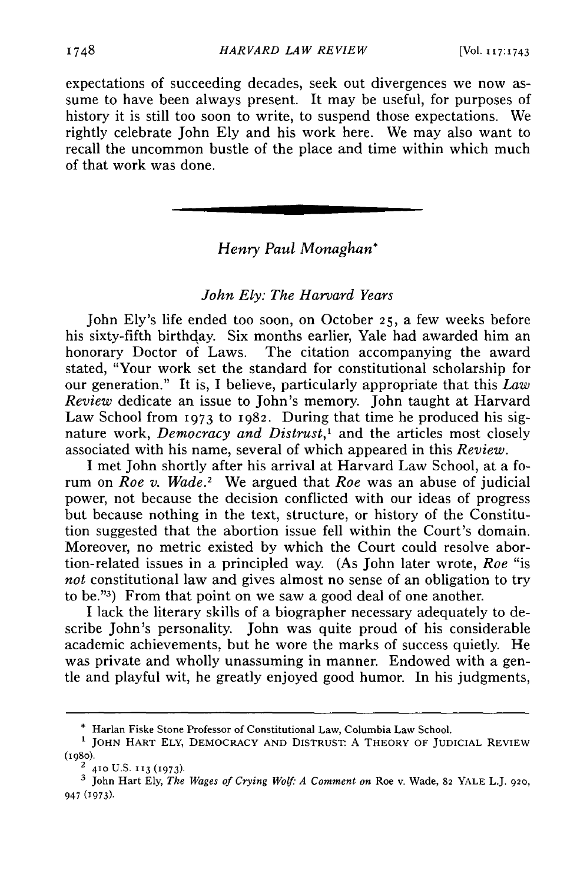expectations of succeeding decades, seek out divergences we now assume to have been always present. It may be useful, for purposes of history it is still too soon to write, to suspend those expectations. We rightly celebrate John Ely and his work here. We may also want to recall the uncommon bustle of the place and time within which much of that work was done.

# *Henry Paul Monaghan\**

#### *John Ely: The Harvard Years*

John Ely's life ended too soon, on October 25, a few weeks before his sixty-fifth birthday. Six months earlier, Yale had awarded him an honorary Doctor of Laws. The citation accompanying the award stated, "Your work set the standard for constitutional scholarship for our generation." It is, I believe, particularly appropriate that this *Law Review* dedicate an issue to John's memory. John taught at Harvard Law School from 1973 to 1982. During that time he produced his signature work, *Democracy and Distrust,'* and the articles most closely associated with his name, several of which appeared in this *Review.*

I met John shortly after his arrival at Harvard Law School, at a forum on *Roe v. Wade.2* We argued that *Roe* was an abuse of judicial power, not because the decision conflicted with our ideas of progress but because nothing in the text, structure, or history of the Constitution suggested that the abortion issue fell within the Court's domain. Moreover, no metric existed by which the Court could resolve abortion-related issues in a principled way. (As John later wrote, *Roe* "is *not* constitutional law and gives almost no sense of an obligation to try to be."<sup>3</sup> ) From that point on we saw a good deal of one another.

I lack the literary skills of a biographer necessary adequately to describe John's personality. John was quite proud of his considerable academic achievements, but he wore the marks of success quietly. He was private and wholly unassuming in manner. Endowed with a gentle and playful wit, he greatly enjoyed good humor. In his judgments,

<sup>\*</sup> Harlan Fiske Stone Professor of Constitutional Law, Columbia Law School.

**JOHN** HART ELY, DEMOCRACY **AND** DISTRUST. **A THEORY** OF JUDICIAL **REVIEW** (i98o).

*<sup>2</sup>* **410** U.S. **I3 (1973).**

**<sup>3</sup>** John Hart Ely, *The Wages of Crying Wolf. A Comment on* Roe v. Wade, 82 **YALE** L.J. **920,** 947 **(1973).**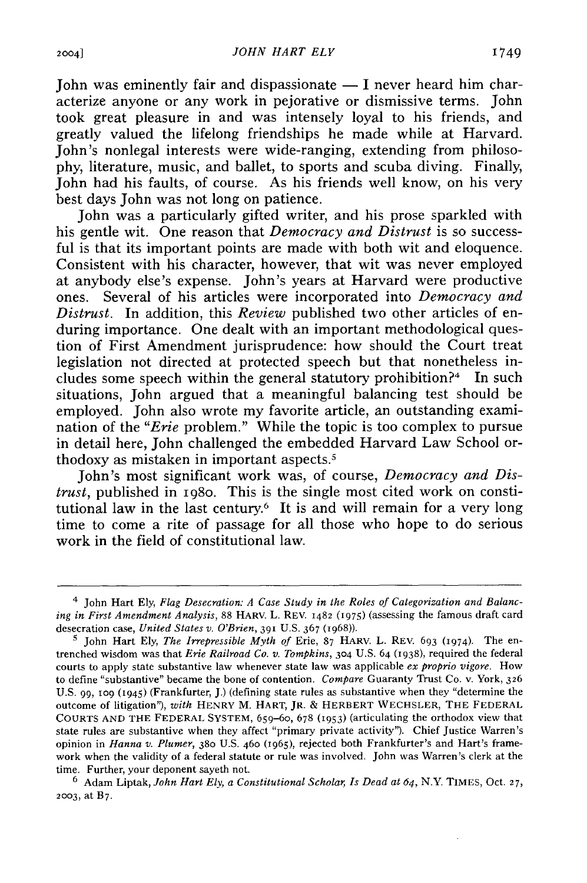John was eminently fair and dispassionate  $-$  I never heard him characterize anyone or any work in pejorative or dismissive terms. John took great pleasure in and was intensely loyal to his friends, and greatly valued the lifelong friendships he made while at Harvard. John's nonlegal interests were wide-ranging, extending from philosophy, literature, music, and ballet, to sports and scuba diving. Finally, John had his faults, of course. As his friends well know, on his very best days John was not long on patience.

John was a particularly gifted writer, and his prose sparkled with his gentle wit. One reason that *Democracy and Distrust* is so successful is that its important points are made with both wit and eloquence. Consistent with his character, however, that wit was never employed at anybody else's expense. John's years at Harvard were productive ones. Several of his articles were incorporated into *Democracy and Distrust.* In addition, this *Review* published two other articles of enduring importance. One dealt with an important methodological question of First Amendment jurisprudence: how should the Court treat legislation not directed at protected speech but that nonetheless includes some speech within the general statutory prohibition?<sup>4</sup> In such situations, John argued that a meaningful balancing test should be employed. John also wrote my favorite article, an outstanding examination of the *"Erie* problem." While the topic is too complex to pursue in detail here, John challenged the embedded Harvard Law School orthodoxy as mistaken in important aspects. <sup>5</sup>

John's most significant work was, of course, *Democracy and Distrust,* published in 1980. This is the single most cited work on constitutional law in the last century.6 It is and will remain for a very long time to come a rite of passage for all those who hope to do serious work in the field of constitutional law.

**<sup>4</sup>** John Hart Ely, *Flag Desecration: A Case Study in the Roles of Categorization and Balancing in First Amendment Analysis,* 88 HARV. L. REV. 1482 (1975) (assessing the famous draft card desecration case, *United States v. O'Brien,* **391** U.S. 367 (1968)).

**<sup>5</sup>** John Hart Ely, *The Irrepressible Myth of* Erie, 87 HARV. L. REv. 693 (1974). The entrenched wisdom was that *Erie Railroad Co. v. Tompkins,* **304** U.S. 64 (1938), required the federal courts to apply state substantive law whenever state law was applicable *ex proprio vigore.* How to define "substantive" became the bone of contention. *Compare* Guaranty Trust Co. v. York, 326 U.S. 99, **109** (1945) (Frankfurter, J.) (defining state rules as substantive when they "determine the outcome of litigation"), *with* HENRY **M.** HART, **JR. &** HERBERT WECHSLER, **THE** FEDERAL **COURTS AND** THE FEDERAL SYSTEM, 659-60, **678 (1953)** (articulating the orthodox view that state rules are substantive when they affect "primary private activity"). Chief Justice Warren's opinion in *Hanna v. Plumer,* **380** U.S. 460 (1965), rejected both Frankfurter's and Hart's framework when the validity of a federal statute or rule was involved. John was Warren's clerk at the time. Further, your deponent sayeth not.

**<sup>6</sup>**Adam Liptak, *John Hart Ely, a Constitutional Scholar, Is Dead at 64,* N.Y. TIMES, Oct. **27, 2003,** at **B7.**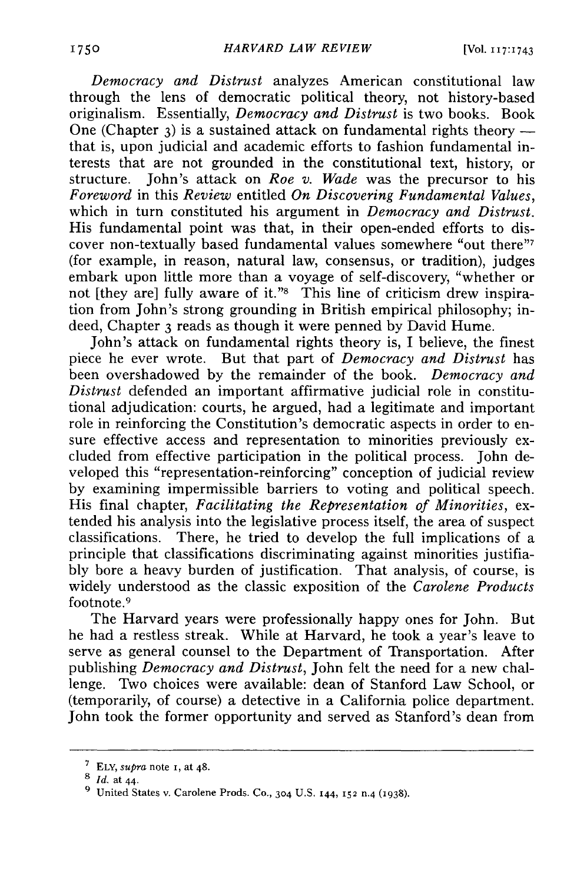*Democracy and Distrust* analyzes American constitutional law through the lens of democratic political theory, not history-based originalism. Essentially, *Democracy and Distrust* is two books. Book One (Chapter 3) is a sustained attack on fundamental rights theory  that is, upon judicial and academic efforts to fashion fundamental interests that are not grounded in the constitutional text, history, or structure. John's attack on *Roe v. Wade* was the precursor to his *Foreword* in this *Review* entitled *On Discovering Fundamental Values,* which in turn constituted his argument in *Democracy and Distrust.* His fundamental point was that, in their open-ended efforts to discover non-textually based fundamental values somewhere "out there"7 (for example, in reason, natural law, consensus, or tradition), judges embark upon little more than a voyage of self-discovery, "whether or not [they are] fully aware of it." $\delta$  This line of criticism drew inspiration from John's strong grounding in British empirical philosophy; indeed, Chapter 3 reads as though it were penned by David Hume.

John's attack on fundamental rights theory is, I believe, the finest piece he ever wrote. But that part of *Democracy and Distrust* has been overshadowed by the remainder of the book. *Democracy and Distrust* defended an important affirmative judicial role in constitutional adjudication: courts, he argued, had a legitimate and important role in reinforcing the Constitution's democratic aspects in order to ensure effective access and representation to minorities previously excluded from effective participation in the political process. John developed this "representation-reinforcing" conception of judicial review by examining impermissible barriers to voting and political speech. His final chapter, *Facilitating the Representation of Minorities,* extended his analysis into the legislative process itself, the area of suspect classifications. There, he tried to develop the full implications of a principle that classifications discriminating against minorities justifiably bore a heavy burden of justification. That analysis, of course, is widely understood as the classic exposition of the *Carolene Products* footnote.9

The Harvard years were professionally happy ones for John. But he had a restless streak. While at Harvard, he took a year's leave to serve as general counsel to the Department of Transportation. After publishing *Democracy and Distrust,* John felt the need for a new challenge. Two choices were available: dean of Stanford Law School, or (temporarily, of course) a detective in a California police department. John took the former opportunity and served as Stanford's dean from

**<sup>7</sup>** ELY, *supra* note i, at 48.

**<sup>8</sup>** *Id.* at 44.

**<sup>9</sup>** United States v. Carolene Prods. Co., **304** U.S. 144, **152** n.4 (1938).